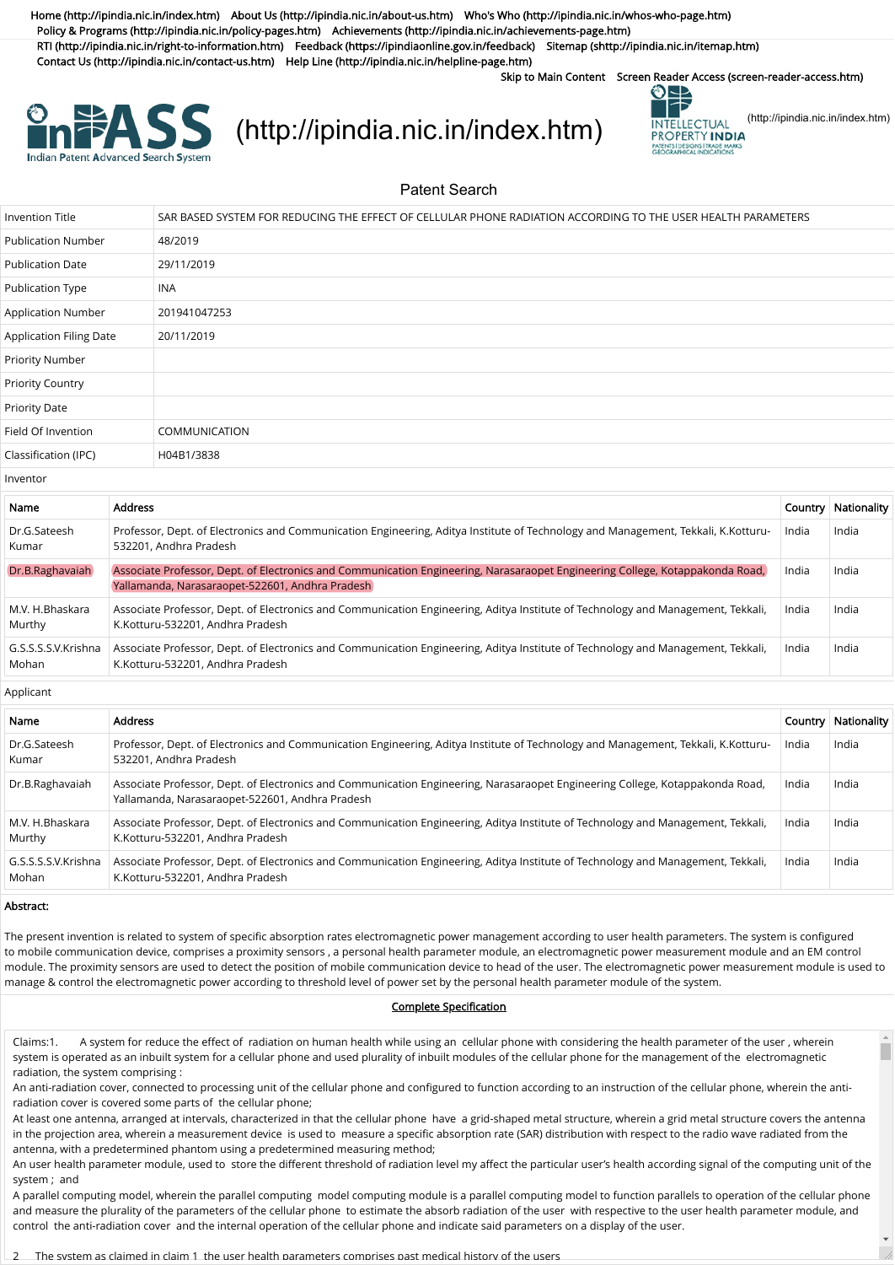[Home \(http://ipindia.nic.in/index.htm\)](http://ipindia.nic.in/index.htm) [About Us \(http://ipindia.nic.in/about-us.htm\)](http://ipindia.nic.in/about-us.htm) [Who's Who \(http://ipindia.nic.in/whos-who-page.htm\)](http://ipindia.nic.in/whos-who-page.htm) [Policy & Programs \(http://ipindia.nic.in/policy-pages.htm\)](http://ipindia.nic.in/policy-pages.htm) [Achievements \(http://ipindia.nic.in/achievements-page.htm\)](http://ipindia.nic.in/achievements-page.htm) [RTI \(http://ipindia.nic.in/right-to-information.htm\)](http://ipindia.nic.in/right-to-information.htm) [Feedback \(https://ipindiaonline.gov.in/feedback\)](https://ipindiaonline.gov.in/feedback) [Sitemap \(shttp://ipindia.nic.in/itemap.htm\)](shttp://ipindia.nic.in/itemap.htm) [Contact Us \(http://ipindia.nic.in/contact-us.htm\)](http://ipindia.nic.in/contact-us.htm) [Help Line \(http://ipindia.nic.in/helpline-page.htm\)](http://ipindia.nic.in/helpline-page.htm)

Skip to Main Content [Screen Reader Access \(screen-reader-access.htm\)](https://ipindiaservices.gov.in/PublicSearch/PublicationSearch/screen-reader-access.htm)



## **EASS** [\(http://ipindia.nic.in/index.htm\)](http://ipindia.nic.in/index.htm) **EXASS** [\(http://ipindia.nic.in/index.htm\)](http://ipindia.nic.in/index.htm)



Patent Search

| <b>Invention Title</b>         |                | SAR BASED SYSTEM FOR REDUCING THE EFFECT OF CELLULAR PHONE RADIATION ACCORDING TO THE USER HEALTH PARAMETERS                                                                     |         |             |  |  |  |
|--------------------------------|----------------|----------------------------------------------------------------------------------------------------------------------------------------------------------------------------------|---------|-------------|--|--|--|
| <b>Publication Number</b>      |                | 48/2019                                                                                                                                                                          |         |             |  |  |  |
| <b>Publication Date</b>        |                | 29/11/2019                                                                                                                                                                       |         |             |  |  |  |
| <b>Publication Type</b>        |                | <b>INA</b>                                                                                                                                                                       |         |             |  |  |  |
| Application Number             |                | 201941047253                                                                                                                                                                     |         |             |  |  |  |
| <b>Application Filing Date</b> |                | 20/11/2019                                                                                                                                                                       |         |             |  |  |  |
| Priority Number                |                |                                                                                                                                                                                  |         |             |  |  |  |
| <b>Priority Country</b>        |                |                                                                                                                                                                                  |         |             |  |  |  |
| <b>Priority Date</b>           |                |                                                                                                                                                                                  |         |             |  |  |  |
| Field Of Invention             |                | <b>COMMUNICATION</b>                                                                                                                                                             |         |             |  |  |  |
| Classification (IPC)           |                | H04B1/3838                                                                                                                                                                       |         |             |  |  |  |
| Inventor                       |                |                                                                                                                                                                                  |         |             |  |  |  |
| Name                           | <b>Address</b> |                                                                                                                                                                                  | Country | Nationality |  |  |  |
| Dr.G.Sateesh<br>Kumar          |                | Professor, Dept. of Electronics and Communication Engineering, Aditya Institute of Technology and Management, Tekkali, K.Kotturu-<br>532201, Andhra Pradesh                      | India   | India       |  |  |  |
| Dr.B.Raghavaiah                |                | Associate Professor, Dept. of Electronics and Communication Engineering, Narasaraopet Engineering College, Kotappakonda Road,<br>Yallamanda, Narasaraopet-522601, Andhra Pradesh | India   | India       |  |  |  |
| M.V. H.Bhaskara                |                | Associate Professor, Dept. of Electronics and Communication Engineering, Aditya Institute of Technology and Management, Tekkali,                                                 | India   | India       |  |  |  |

| Murthy | K.Kotturu-532201, Andhra Pradesh                                                                                                                                                           |       |         |
|--------|--------------------------------------------------------------------------------------------------------------------------------------------------------------------------------------------|-------|---------|
| Mohan  | G.S.S.S.S.V.Krishna   Associate Professor, Dept. of Electronics and Communication Engineering, Aditya Institute of Technology and Management, Tekkali,<br>K.Kotturu-532201, Andhra Pradesh | India | ' India |

Applicant

| Name                         | <b>Address</b>                                                                                                                                                                   |       | Country   Nationality |
|------------------------------|----------------------------------------------------------------------------------------------------------------------------------------------------------------------------------|-------|-----------------------|
| Dr.G.Sateesh<br>Kumar        | Professor, Dept. of Electronics and Communication Engineering, Aditya Institute of Technology and Management, Tekkali, K.Kotturu-<br>532201, Andhra Pradesh                      | India | India                 |
| Dr.B.Raghavaiah              | Associate Professor, Dept. of Electronics and Communication Engineering, Narasaraopet Engineering College, Kotappakonda Road,<br>Yallamanda, Narasaraopet-522601, Andhra Pradesh | India | India                 |
| M.V. H.Bhaskara<br>Murthy    | Associate Professor, Dept. of Electronics and Communication Engineering, Aditya Institute of Technology and Management, Tekkali,<br>K.Kotturu-532201, Andhra Pradesh             | India | India                 |
| G.S.S.S.S.V.Krishna<br>Mohan | Associate Professor, Dept. of Electronics and Communication Engineering, Aditya Institute of Technology and Management, Tekkali,<br>K.Kotturu-532201, Andhra Pradesh             | India | India                 |

## Abstract:

The present invention is related to system of specific absorption rates electromagnetic power management according to user health parameters. The system is configured to mobile communication device, comprises a proximity sensors , a personal health parameter module, an electromagnetic power measurement module and an EM control module. The proximity sensors are used to detect the position of mobile communication device to head of the user. The electromagnetic power measurement module is used to manage & control the electromagnetic power according to threshold level of power set by the personal health parameter module of the system.

## Complete Specification

Claims:1. A system for reduce the effect of radiation on human health while using an cellular phone with considering the health parameter of the user , wherein system is operated as an inbuilt system for a cellular phone and used plurality of inbuilt modules of the cellular phone for the management of the electromagnetic radiation, the system comprising :

An anti-radiation cover, connected to processing unit of the cellular phone and configured to function according to an instruction of the cellular phone, wherein the antiradiation cover is covered some parts of the cellular phone;

At least one antenna, arranged at intervals, characterized in that the cellular phone have a grid-shaped metal structure, wherein a grid metal structure covers the antenna in the projection area, wherein a measurement device is used to measure a specific absorption rate (SAR) distribution with respect to the radio wave radiated from the antenna, with a predetermined phantom using a predetermined measuring method;

An user health parameter module, used to store the different threshold of radiation level my affect the particular user's health according signal of the computing unit of the system ; and

A parallel computing model, wherein the parallel computing model computing module is a parallel computing model to function parallels to operation of the cellular phone and measure the plurality of the parameters of the cellular phone to estimate the absorb radiation of the user with respective to the user health parameter module, and control the anti-radiation cover and the internal operation of the cellular phone and indicate said parameters on a display of the user.